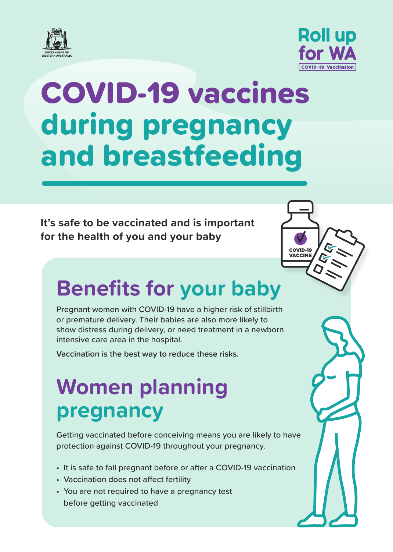



**COVID-19<br>VACCINE** 

# COVID-19 vaccines during pregnancy and breastfeeding

**It's safe to be vaccinated and is important for the health of you and your baby**

### **Benefits for your baby**

Pregnant women with COVID-19 have a higher risk of stillbirth or premature delivery. Their babies are also more likely to show distress during delivery, or need treatment in a newborn intensive care area in the hospital.

**Vaccination is the best way to reduce these risks.**

### **Women planning pregnancy**

Getting vaccinated before conceiving means you are likely to have protection against COVID-19 throughout your pregnancy.

- It is safe to fall pregnant before or after a COVID-19 vaccination
- Vaccination does not affect fertility
- You are not required to have a pregnancy test before getting vaccinated